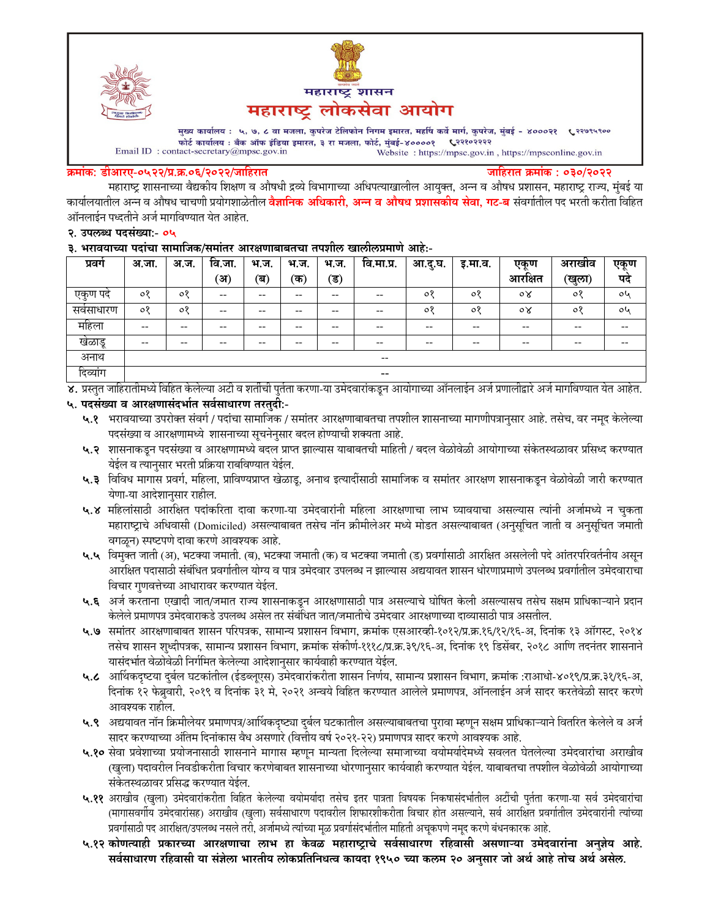



मुख्य कार्यालय : ५, ७, ८ वा मजला, कुपरेज टेलिफोन निगम इमारत, महर्षि कर्वे मार्ग, कुपरेज, मुंबई - ४०००२१ ९२९९९९०० फोर्ट कार्यालय : बँक ऑफ इंडिया इमारत, ३ रा मजला, फोर्ट, मुंबई-४००००१ ९२११०२२२२  $\label{eq:1} \textbf{Email ID: contact-secretary@mpsc.gov.in}$ Website: https://mpsc.gov.in, https://mpsconline.gov.in

#### क्रमांक: डीआरए-०५२२/प्र.क्र.०६/२०२२/जाहिरात

जाहिरात क्रमांक : ०३०/२०२२

महाराष्ट्र शासनाच्या वैद्यकीय शिक्षण व औषधी द्रव्ये विभागाच्या अधिपत्याखालील आयुक्त, अन्न व औषध प्रशासन, महाराष्ट्र राज्य, मुंबई या कार्यालयातील अन्न व औषध चाचणी प्रयोगशाळेतील **वैज्ञानिक अधिकारी, अन्न व औषध प्रशासकीय सेवा, गट-ब** संवर्गातील पद भरती करीता विहित ऑनलाईन पध्दतीने अर्ज मार्गावण्यात येत आहेत.

#### २. उपलब्ध पदसंख्या:- ०५

३. भरावयाच्या पदांचा सामाजिक/समांतर आरक्षणाबाबतचा तपशील खालीलप्रमाणे आहे:-

| प्रवग    | अ.जा.   | अ.ज. | वि.जा.                                | भ.ज.         | भ.ज.  | भ.ज.  | वि.मा.प्र.               | आ.दु.घ. | इ.मा.व.    | एकूण    | अराखीव | एकूण |
|----------|---------|------|---------------------------------------|--------------|-------|-------|--------------------------|---------|------------|---------|--------|------|
|          |         |      | ंअ)                                   | $\mathbf{a}$ | (क)   | (ड)   |                          |         |            | आरक्षित | (खुला) | पदे  |
| एकुण पदं | $\circ$ | ०१   | --                                    | --           | $- -$ | $- -$ | --                       | $\circ$ | $\circ$    | ०४      | ०१     | oh   |
| सवसाधारण | $\circ$ | ०१   | $- -$                                 | $- -$        | $- -$ | $- -$ | --                       | °0      | $^{\circ}$ | oγ      | ०१     | oh   |
| महिला    | --      | --   | $\hspace{0.05cm}$ – $\hspace{0.05cm}$ | $- -$        | $- -$ | $- -$ | $\hspace{0.05cm} \ldots$ | $- -$   | $- -$      | --      | $- -$  | --   |
| खेळाडू   | --      | --   | --                                    | --           | --    | --    | --                       | $- -$   | $- -$      | --      | --     | --   |
| अनाथ     |         |      |                                       |              |       |       | $- -$                    |         |            |         |        |      |
| दिव्यांग |         |      |                                       |              |       |       | $\sim$ $\sim$            |         |            |         |        |      |

४. प्रस्तुत जाहिरातीमध्ये विहित केलेल्या अटी व शर्तीची पुर्तता करणा-या उमेदवारांकडून आयोगाच्या ऑनलाईन अर्ज प्रणालीद्वारे अर्ज मार्गावण्यात येत आहेत.

### ५. पदसंख्या व आरक्षणासंदर्भात सर्वसाधारण तरतुदी:-

- ५.१ भरावयाच्या उपरोक्त संवर्ग / पदांचा सामाजिक / समांतर आरक्षणाबाबतचा तपशील शासनाच्या मागणीपत्रानुसार आहे. तसेच, वर नमूद केलेल्या पदसंख्या व आरक्षणामध्ये शासनाच्या सूचनेनुसार बदल होण्याची शक्यता आहे.
- ५.२ शासनाकडून पदसंख्या व आरक्षणामध्ये बदल प्राप्त झाल्यास याबाबतची माहिती / बदल वेळोवेळी आयोगाच्या संकेतस्थळावर प्रसिध्द करण्यात येईल व त्यानुसार भरती प्रक्रिया राबविण्यात येईल.
- ५.३ विविध मागास प्रवर्ग, महिला, प्राविण्यप्राप्त खेळाडू, अनाथ इत्यादीसाठी सामाजिक व समांतर आरक्षण शासनाकडून वेळोवेळी जारी करण्यात येणा-या आदेशानुसार राहील.
- ५.४ महिलांसाठी आरक्षित पदांकरिता दावा करणा-या उमेदवारांनी महिला आरक्षणाचा लाभ घ्यावयाचा असल्यास त्यांनी अर्जामध्ये न चुकता महाराष्ट्राचे अधिवासी (Domiciled) असल्याबाबत तसेच नॉन क्रीमीलेअर मध्ये मोडत असल्याबाबत (अनुसूचित जाती व अनुसूचित जमाती वगळून) स्पष्टपणे दावा करणे आवश्यक आहे.
- ५.५ विमुक्त जाती (अ), भटक्या जमाती. (ब), भटक्या जमाती (क) व भटक्या जमाती (ड) प्रवर्गासाठी आरक्षित असलेली पदे आंतरपरिवर्तनीय असुन आरक्षित पदासाठी संबंधित प्रवर्गातील योग्य व पात्र उमेदवार उपलब्ध न झाल्यास अद्ययावत शासन धोरणाप्रमाणे उपलब्ध प्रवर्गातील उमेदवाराचा विचार गुणवत्तेच्या आधारावर करण्यात येईल.
- ५.६ अर्ज करताना एखादी जात/जमात राज्य शासनाकडून आरक्षणासाठी पात्र असल्याचे घोषित केली असल्यासच तसेच सक्षम प्राधिकाऱ्याने प्रदान केलेले प्रमाणपत्र उमेदवाराकडे उपलब्ध असेल तर संबंधित जात/जमातीचे उमेदवार आरक्षणाच्या दाव्यासाठी पात्र असतील.
- ५.७ समांतर आरक्षणाबाबत शासन परिपत्रक, सामान्य प्रशासन विभाग, क्रमांक एसआरव्ही-१०१२/प्र.क्र.१६/१२/१६-अ, दिनांक १३ ऑगस्ट, २०१४ तसेच शासन शुध्दीपत्रक, सामान्य प्रशासन विभाग, क्रमांक संकोर्ण-१११८/प्र.क्र.३९/१६-अ, दिनांक १९ डिसेंबर, २०१८ आणि तदनंतर शासनाने यासंदर्भात वेळोवेळी निर्गमित केलेल्या आदेशानुसार कार्यवाही करण्यात येईल.
- ५.८ आर्थिकदृष्टया दुर्बल घटकांतील (ईडब्लूएस) उमेदवारांकरीता शासन निर्णय, सामान्य प्रशासन विभाग, क्रमांक :राआधो-४०१९/प्र.क्र.३१/१६-अ, दिनांक १२ फेब्रुवारी, २०१९ व दिनांक ३१ मे, २०२१ अन्वये विहित करण्यात आलेले प्रमाणपत्र, ऑनलाईन अर्ज सादर करतेवेळी सादर करणे आवश्यक राहील.
- ५.९ अद्ययावत नॉन क्रिमीलेयर प्रमाणपत्र/आर्थिकदृष्ट्या दुर्बल घटकातील असल्याबाबतचा पुरावा म्हणून सक्षम प्राधिकाऱ्याने वितरित केलेले व अर्ज सादर करण्याच्या अंतिम दिनांकास वैध असणारे (वित्तीय वर्ष २०२१-२२) प्रमाणपत्र सादर करणे आवश्यक आहे.
- ५.१० सेवा प्रवेशाच्या प्रयोजनासाठी शासनाने मागास म्हणून मान्यता दिलेल्या समाजाच्या वयोमर्यादेमध्ये सवलत घेतलेल्या उमेदवारांचा अराखीव (खुला) पदावरील निवडीकरीता विचार करणेबाबत शासनाच्या धोरणानुसार कार्यवाही करण्यात येईल. याबाबतचा तपशील वेळोवेळी आयोगाच्या संकेतस्थळावर प्रसिद्ध करण्यात येईल.
- ५.११ अराखीव (खुला) उमेदवारांकरीता विहित केलेल्या वयोमर्यादा तसेच इतर पात्रता विषयक निकषासंदर्भातील अटींची पुर्तता करणा-या सर्व उमेदवारांचा (मागासवर्गीय उमेदवारांसह) अराखीव (खुला) सर्वसाधारण पदावरील शिफारशीकरीता विचार होत असल्याने, सर्व आरक्षित प्रवर्गातील उमेदवारांनी त्यांच्या प्रवर्गासाठी पद आरक्षित/उपलब्ध नसले तरी, अर्जामध्ये त्यांच्या मूळ प्रवर्गासंदर्भातील माहिती अचूकपणे नमूद करणे बंधनकारक आहे.
- ५.१२ कोणत्याही प्रकारच्या आरक्षणाचा लाभ हा केवळ महाराष्ट्राचे सर्वसाधारण रहिवासी असणाऱ्या उमेदवारांना अनुज्ञेय आहे. सर्वसाधारण रहिवासी या संज्ञेला भारतीय लोकप्रतिनिधत्व कायदा १९५० च्या कलम २० अनुसार जो अर्थ आहे तोच अर्थ असेल.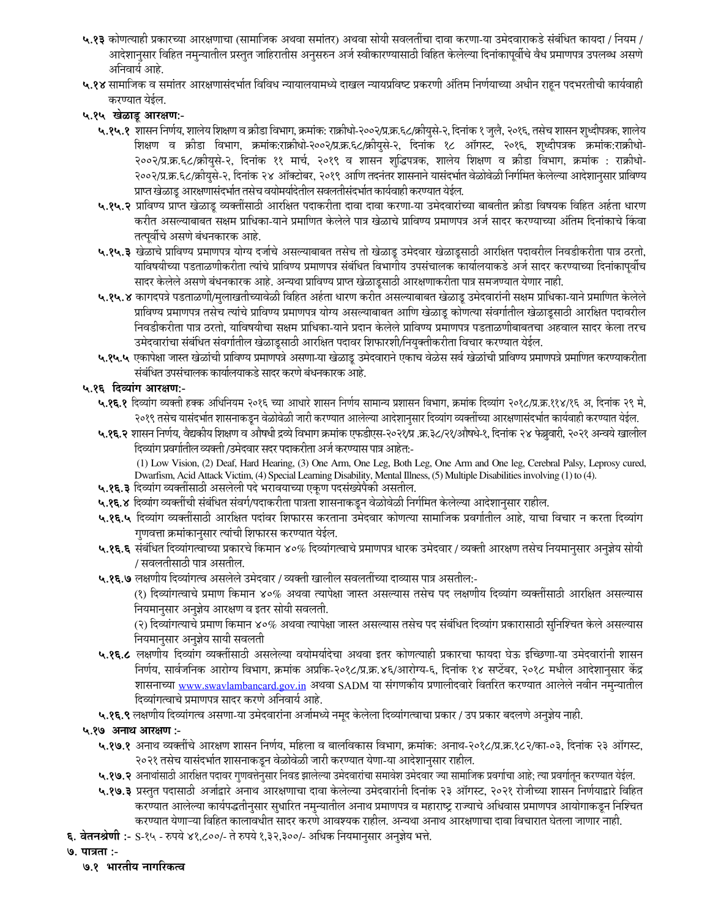- ५.१३ कोणत्याही प्रकारच्या आरक्षणाचा (सामाजिक अथवा समांतर) अथवा सोयी सवलतींचा दावा करणा-या उमेदवाराकडे संबंधित कायदा / नियम / आदेशानुसार विहित नमुन्यातील प्रस्तुत जाहिरातीस अनुसरुन अर्ज स्वीकारण्यासाठी विहित केलेल्या दिनांकापूर्वीचे वैध प्रमाणपत्र उपलब्ध असणे अनिवार्य आहे.
- ५.१४ सामाजिक व समांतर आरक्षणासंदर्भात विविध न्यायालयामध्ये दाखल न्यायप्रविष्ट प्रकरणी अंतिम निर्णयाच्या अधीन राहून पदभरतीची कार्यवाही करण्यात येईल.

## ५.१५ खेळाडू आरक्षण:-

- ५.१५.१ शासन निर्णय, शालेय शिक्षण व क्रीडा विभाग, क्रमांक: राक्रीधो-२००२/प्र.क्र.६८/क्रीयुसे-२, दिनांक १ जुलै, २०१६, तसेच शासन शुध्दीपत्रक, शालेय शिक्षण व क्रीडा विभाग, क्रमांक:राक्रीधो-२००२/प्र.क.६८/क्रीयुसे-२, दिनांक १८ ऑगस्ट, २०१६, शुध्दीपत्रक क्रमांक:राक्रीधो-२००२/प्र.क्र.६८/क्रीयुसे-२, दिनांक ११ मार्च, २०१९ व शासन शुद्धिपत्रक, शालेय शिक्षण व क्रीडा विभाग, क्रमांक : राक्रीधो-२००२/प्र.क्र.६८/क्रीयुसे-२, दिनांक २४ ऑक्टोबर, २०१९ आणि तदनंतर शासनाने यासंदर्भात वेळोवेळी निर्गमित केलेल्या आदेशानुसार प्राविण्य प्राप्त खेळाडू आरक्षणासंदर्भात तसेच वयोमर्यादेतील सवलतीसंदर्भात कार्यवाही करण्यात येईल.
- ५.१५.२ प्राविण्य प्राप्त खेळाडू व्यक्तींसाठी आरक्षित पदाकरीता दावा दावा करणा-या उमेदवारांच्या बाबतीत क्रीडा विषयक विहित अर्हता धारण करीत असल्याबाबत सक्षम प्राधिका-याने प्रमाणित केलेले पात्र खेळाचे प्राविण्य प्रमाणपत्र अर्ज सादर करण्याच्या अंतिम दिनांकाचे किंवा तत्पूर्वीचे असणे बंधनकारक आहे.
- ५.१५.३ खेळाचे प्राविण्य प्रमाणपत्र योग्य दर्जाचे असल्याबाबत तसेच तो खेळाडू उमेदवार खेळाडूसाठी आरक्षित पदावरील निवडीकरीता पात्र ठरतो, याविषयीच्या पडताळणीकरीता त्यांचे प्राविण्य प्रमाणपत्र संबंधित विभागीय उपसंचालक कार्यालयाकडे अर्ज सादर करण्याच्या दिनांकापूर्वीच सादर केलेले असणे बंधनकारक आहे. अन्यथा प्राविण्य प्राप्त खेळाडूसाठी आरक्षणाकरीता पात्र समजण्यात येणार नाही.
- ५.१५.४ कागदपत्रे पडताळणी/मुलाखतीच्यावेळी विहित अर्हता धारण करीत असल्याबाबत खेळाडू उमेदवारांनी सक्षम प्राधिका-याने प्रमाणित केलेले प्राविण्य प्रमाणपत्र तसेच त्यांचे प्राविण्य प्रमाणपत्र योग्य असल्याबाबत आणि खेळाडू कोणत्या संवर्गातील खेळाडूसाठी आरक्षित पदावरील निवडीकरीता पात्र ठरतो, याविषयीचा सक्षम प्राधिका-याने प्रदान केलेले प्राविण्य प्रमाणपत्र पडताळणीबाबतचा अहवाल सादर केला तरच उमेदवारांचा संबंधित संवर्गातील खेळाडूसाठी आरक्षित पदावर शिफारशी/नियुक्तीकरीता विचार करण्यात येईल.
- ५.१५.५ एकापेक्षा जास्त खेळांची प्राविण्य प्रमाणपत्रे असणा-या खेळाडू उमेदवाराने एकाच वेळेस सर्व खेळांची प्राविण्य प्रमाणपत्रे प्रमाणित करण्याकरीता संबंधित उपसंचालक कार्यालयाकडे सादर करणे बंधनकारक आहे.

### ५.१६ दिव्यांग आरक्षण:-

- ५.१६.१ दिव्यांग व्यक्ती हक्क अधिनियम २०१६ च्या आधारे शासन निर्णय सामान्य प्रशासन विभाग, क्रमांक दिव्यांग २०१८/प्र.क्र.११४/१६ अ, दिनांक २९ मे, २०१९ तसेच यासंदर्भात शासनाकडून वेळोवेळी जारी करण्यात आलेल्या आदेशानुसार दिव्यांग व्यक्तींच्या आरक्षणासंदर्भात कार्यवाही करण्यात येईल.
- ५.१६.२ शासन निर्णय, वैद्यकीय शिक्षण व औषधी द्रव्ये विभाग क्रमांक एफडीएस-२०२१/प्र .क्र.३८/२१/औषधे-१, दिनांक २४ फेब्रुवारी, २०२१ अन्वये खालील दिव्यांग प्रवर्गातील व्यक्ती /उमेदवार सदर पदाकरीता अर्ज करण्यास पात्र आहेत:-

(1) Low Vision, (2) Deaf, Hard Hearing, (3) One Arm, One Leg, Both Leg, One Arm and One leg, Cerebral Palsy, Leprosy cured, Dwarfism, Acid Attack Victim, (4) Special Learning Disability, Mental Illness, (5) Multiple Disabilities involving (1) to (4).

- ५.१६.३ दिव्यांग व्यक्तींसाठी असलेली पदे भरावयाच्या एकूण पदसंख्येपैकी असतील.
- ५.**१६.४** दिव्यांग व्यक्तींची संबंधित संवर्ग/पदाकरीता पात्रता शासनाकडून वेळोवेळी निर्गमित केलेल्या आदेशानुसार राहील.
- ५.**१६.५** दिव्यांग व्यक्तींसाठी आरक्षित पदांवर शिफारस करताना उमेदवार कोणत्या सामाजिक प्रवर्गातील आहे, याचा विचार न करता दिव्यांग गुणवत्ता क्रमांकानुसार त्यांची शिफारस करण्यात येईल.
- ५.१६.६ संबंधित दिव्यांगत्वाच्या प्रकारचे किमान ४०% दिव्यांगत्वाचे प्रमाणपत्र धारक उमेदवार / व्यक्ती आरक्षण तसेच नियमानुसार अनुज्ञेय सोयी / सवलतीसाठी पात्र असतील.
- **५.१६.७** लक्षणीय दिव्यांगत्व असलेले उमेदवार / व्यक्ती खालील सवलतींच्या दाव्यास पात्र असतील:-

(१) दिव्यांगत्वाचे प्रमाण किमान ४०% अथवा त्यापेक्षा जास्त असल्यास तसेच पद लक्षणीय दिव्यांग व्यक्तींसाठी आरक्षित असल्यास नियमानुसार अनुज्ञेय आरक्षण व इतर सोयी सवलती.

(२) दिव्यांगत्याचे प्रमाण किमान ४०% अथवा त्यापेक्षा जास्त असल्यास तसेच पद संबंधित दिव्यांग प्रकारासाठी सुनिश्चित केले असल्यास नियमानुसार अनुज्ञेय सायी सवलती

- ५.१६.८ लक्षणीय दिव्यांग व्यक्तींसाठी असलेल्या वयोमर्यादेचा अथवा इतर कोणत्याही प्रकारचा फायदा घेऊ इच्छिणा-या उमेदवारांनी शासन निर्णय, सार्वजनिक आरोग्य विभाग, क्रमांक अप्रकि-२०१८/प्र.क्र.४६/आरोग्य-६, दिनांक १४ सप्टेंबर, २०१८ मधील आदेशानुसार केंद्र शासनाच्या www.swavlambancard.gov.in अथवा SADM या संगणकीय प्रणालीदवारे वितरित करण्यात आलेले नवीन नमन्यातील दिव्यांगत्वाचे प्रमाणपत्र सादर करणे अनिवार्य आहे.
- ५.**१६.९** लक्षणीय दिव्यांगत्व असणा-या उमेदवारांना अर्जामध्ये नमूद केलेला दिव्यांगत्वाचा प्रकार / उप प्रकार बदलणे अनुज्ञेय नाही.

### ५.१७ अनाथ आरक्षण :-

- ५.१७.१ अनाथ व्यक्तींचे आरक्षण शासन निर्णय, महिला व बालविकास विभाग, क्रमांक: अनाथ-२०१८/प्र.क्र.१८२/का-०३, दिनांक २३ ऑगस्ट, २०२१ तसेच यासंदर्भात शासनाकडून वेळोवेळी जारी करण्यात येणा-या आदेशानुसार राहील.
- ५.१७.२ अनाथांसाठी आरक्षित पदावर गुणवत्तेनुसार निवड झालेल्या उमेदवारांचा समावेश उमेदवार ज्या सामाजिक प्रवर्गाचा आहे; त्या प्रवर्गातून करण्यात येईल.
- ५.१७.३ प्रस्तुत पदासाठी अर्जाद्वारे अनाथ आरक्षणाचा दावा केलेल्या उमेदवारांनी दिनांक २३ ऑगस्ट, २०२१ रोजीच्या शासन निर्णयाद्वारे विहित करण्यात आलेल्या कार्यपद्धतीनुसार सुधारित नमुन्यातील अनाथ प्रमाणपत्र व महाराष्ट्र राज्याचे अधिवास प्रमाणपत्र आयोगाकडून निश्चित करण्यात येणाऱ्या विहित कालावधीत सादर करणे आवश्यक राहील. अन्यथा अनाथ आरक्षणाचा दावा विचारात घेतला जाणार नाही.
- ६. वेतनश्रेणी :- S-१५ रुपये ४१,८००/- ते रुपये १,३२,३००/- अधिक नियमानुसार अनुज्ञेय भत्ते.
- **७. पात्रता :-**
	- ७.१ भारतीय नागरिकत्व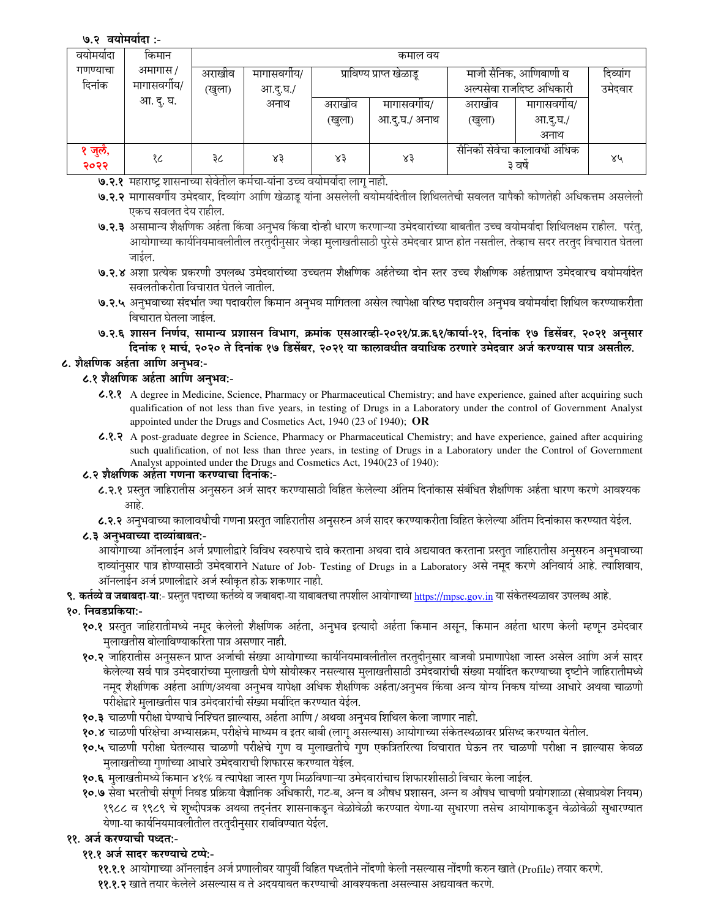### ७.२ वयोमर्यादा :-

| वयामयादा           | किमान                  | कमाल वय           |                        |                  |                             |                                                    |                                |    |  |
|--------------------|------------------------|-------------------|------------------------|------------------|-----------------------------|----------------------------------------------------|--------------------------------|----|--|
| गणण्याचा<br>दिनांक | अमागास /<br>मागासवगीय/ | अराखांव<br>(खुला) | मागासवगीय/<br>आ.दू.घ./ |                  | प्राविण्य प्राप्त खेळाडू    | माजी सैनिक, आणिबाणी व<br>अल्पसेवा राजदिष्ट अधिकारी | दिव्यांग<br>उमेदवार            |    |  |
|                    | आ. दु. घ.              |                   | अनाथ                   | अराखीव<br>(खुला) | मागासवगीय/<br>आ.दु.घ./ अनाथ | अराखांव<br>(खुला)                                  | मागासवगीय/<br>आ.दू.घ./<br>अनाथ |    |  |
| ' जुलै,<br>२०२२    | १८                     | ३८                | $x_3$                  | $x_3$            | ४३                          | सैनिकी सेवेचा कालावधी अधिक<br>३ वर्ष               |                                | ४५ |  |

७.२.१ महाराष्ट्र शासनाच्या सेवेतील कर्मचा-यांना उच्च वयोमर्यादा लागू नाही.

- ७.२.२ मागासवर्गीय उमेदवार, दिव्यांग आणि खेळाडू यांना असलेली वयोमर्यादेतील शिथिलतेची सवलत यापैकी कोणतेही अधिकत्तम असलेली एकच सवलत देय राहील.
- ७.२.३ असामान्य शैक्षणिक अर्हता किंवा अनुभव किंवा दोन्ही धारण करणाऱ्या उमेदवारांच्या बाबतीत उच्च वयोमर्यादा शिथिलक्षम राहील. परंतु, आयोगाच्या कार्यनियमावलीतील तरतुदीनुसार जेव्हा मुलाखतीसाठी पुरेसे उमेदवार प्राप्त होत नसतील, तेव्हाच सदर तरतुद विचारात घेतला जाईल.
- ७.२.४ अशा प्रत्येक प्रकरणी उपलब्ध उमेदवारांच्या उच्चतम शैक्षणिक अर्हतेच्या दोन स्तर उच्च शैक्षणिक अर्हताप्राप्त उमेदवारच वयोमर्यादेत सवलतीकरीता विचारात घेतले जातील.
- ७.२.५ अनुभवाच्या संदर्भात ज्या पदावरील किमान अनुभव मागितला असेल त्यापेक्षा वरिष्ठ पदावरील अनुभव वयोमर्यादा शिथिल करण्याकरीता विचारात घेतला जाईल.
- ७.२.६ शासन निर्णय, सामान्य प्रशासन विभाग, क्रमांक एसआरव्ही-२०२१/प्र.क्र.६१/कार्या-१२, दिनांक १७ डिसेंबर, २०२१ अनुसार दिनांक १ मार्च, २०२० ते दिनांक १७ डिसेंबर, २०२१ या कालावधीत वयाधिक ठरणारे उमेदवार अर्ज करण्यास पात्र असतील.

# ८. शैक्षणिक अर्हता आणि अनुभव:-

## ८.१ शैक्षणिक अर्हता आणि अनुभव:-

- 6.8.8 A degree in Medicine, Science, Pharmacy or Pharmaceutical Chemistry; and have experience, gained after acquiring such qualification of not less than five years, in testing of Drugs in a Laboratory under the control of Government Analyst appointed under the Drugs and Cosmetics Act, 1940 (23 of 1940); OR
- 6.2.7 A post-graduate degree in Science, Pharmacy or Pharmaceutical Chemistry; and have experience, gained after acquiring such qualification, of not less than three years, in testing of Drugs in a Laboratory under the Control of Government Analyst appointed under the Drugs and Cosmetics Act, 1940(23 of 1940):

#### ८.२ शैक्षणिक अर्हता गणना करण्याचा दिनांक:-

- ८.२.१ प्रस्तुत जाहिरातीस अनुसरुन अर्ज सादर करण्यासाठी विहित केलेल्या अंतिम दिनांकास संबंधित शैक्षणिक अर्हता धारण करणे आवश्यक
- ८.२.२ अनुभवाच्या कालावधीची गणना प्रस्तुत जाहिरातीस अनुसरुन अर्ज सादर करण्याकरीता विहित केलेल्या अंतिम दिनांकास करण्यात येईल.

## ८.३ अनुभवाच्या दाव्यांबाबत:-

आयोगाच्या ऑनलाईन अर्ज प्रणालीद्वारे विविध स्वरुपाचे दावे करताना अथवा दावे अद्ययावत करताना प्रस्तुत जाहिरातीस अनुसरुन अनुभवाच्या दाव्यांनुसार पात्र होण्यासाठी उमेदवाराने Nature of Job- Testing of Drugs in a Laboratory असे नमूद करणे अनिवार्य आहे. त्याशिवाय, ऑनलाईन अर्ज प्रणालीद्वारे अर्ज स्वीकृत होऊ शकणार नाही.

**९. कर्तव्ये व जबाबदा-या:**- प्रस्तुत पदाच्या कर्तव्ये व जबाबदा-या याबाबतचा तपशील आयोगाच्या <u>https://mpsc.gov.in</u> या संकेतस्थळावर उपलब्ध आहे.

### १०. निवडप्रकिया:-

- १०.१ प्रस्तुत जाहिरातीमध्ये नमूद केलेली शैक्षणिक अर्हता, अनुभव इत्यादी अर्हता किमान असून, किमान अर्हता धारण केली म्हणून उमेदवार मुलाखतीस बोलाविण्याकरिता पात्र असणार नाही.
- १०.२ जाहिरातीस अनुसरून प्राप्त अर्जाची संख्या आयोगाच्या कार्यनियमावलीतील तरतुदीनुसार वाजवी प्रमाणापेक्षा जास्त असेल आणि अर्ज सादर केलेल्या सर्व पात्र उमेदवारांच्या मुलाखती घेणे सोयीस्कर नसल्यास मुलाखतीसाठी उमेदवारांची संख्या मर्यादित करण्याच्या दृष्टीने जाहिरातीमध्ये नमूद शैक्षणिक अर्हता आणि/अथवा अनुभव यापेक्षा अधिक शैक्षणिक अर्हता/अनुभव किंवा अन्य योग्य निकष यांच्या आधारे अथवा चाळणी परीक्षेद्वारे मुलाखतीस पात्र उमेदवारांची संख्या मर्यादित करण्यात येईल.
- १०.३ चाळणी परीक्षा घेण्याचे निश्चित झाल्यास, अर्हता आणि / अथवा अनुभव शिथिल केला जाणार नाही.
- १०.४ चाळणी परिक्षेचा अभ्यासक्रम, परीक्षेचे माध्यम व इतर बाबी (लागू असल्यास) आयोगाच्या संकेतस्थळावर प्रसिध्द करण्यात येतील.
- १०.५ चाळणी परीक्षा घेतल्यास चाळणी परीक्षेचे गुण व मुलाखतीचे गुण एकत्रितरित्या विचारात घेऊन तर चाळणी परीक्षा न झाल्यास केवळ मुलाखतीच्या गुणांच्या आधारे उमेदवाराची शिफारस करण्यात येईल.
- १०.६ मुलाखतीमध्ये किमान ४१% व त्यापेक्षा जास्त गुण मिळविणाऱ्या उमेदवारांचाच शिफारशीसाठी विचार केला जाईल.
- १०.७ सेवा भरतीची संपूर्ण निवड प्रक्रिया वैज्ञानिक अधिकारी, गट-ब, अन्न व औषध प्रशासन, अन्न व औषध चाचणी प्रयोगशाळा (सेवाप्रवेश नियम) १९८८ व १९८९ चे शुध्दीपत्रक अथवा तद्नंतर शासनाकडून वेळोवेळी करण्यात येणा-या सुधारणा तसेच आयोगाकडून वेळोवेळी सुधारण्यात येणा-या कार्यनियमावलीतील तरतुदीनुसार राबविण्यात येईल.

## ११. अर्ज करण्याची पध्दत:-

११.१ अर्ज सादर करण्याचे टप्पे:-

**११.१.१** आयोगाच्या ऑनलाईन अर्ज प्रणालीवर यापूर्वी विहित पध्दतीने नोंदणी केली नसल्यास नोंदणी करुन खाते (Profile) तयार करणे.

११.१.२ खाते तयार केलेले असल्यास व ते अदययावत करण्याची आवश्यकता असल्यास अद्ययावत करणे.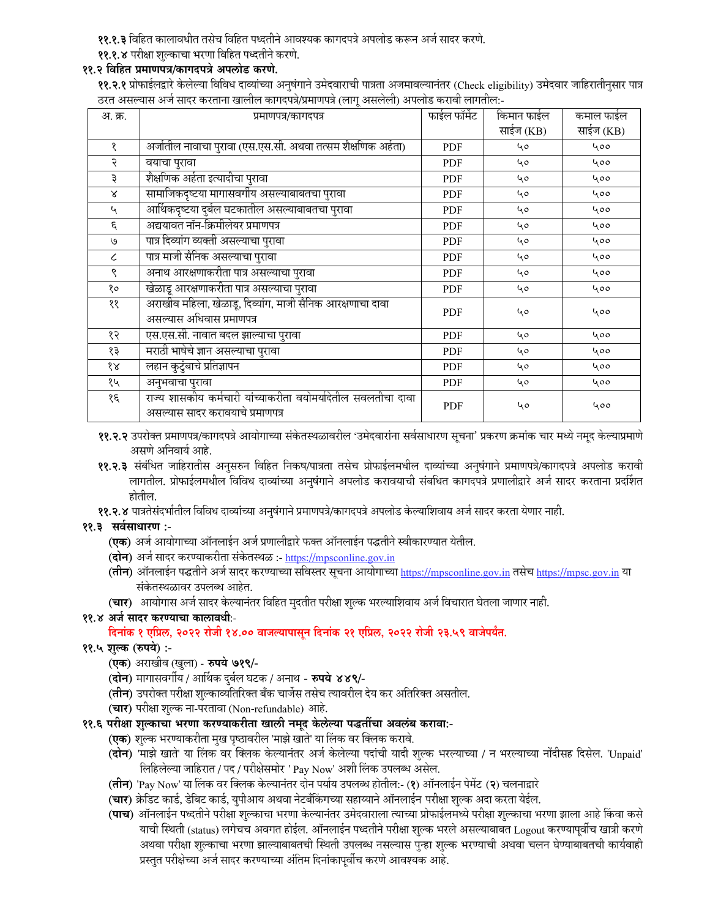- ११.१.३ विहित कालावधीत तसेच विहित पध्दतीने आवश्यक कागदपत्रे अपलोड करून अर्ज सादर करणे.
- ११.१.४ परीक्षा शुल्काचा भरणा विहित पध्दतीने करणे.

### ११.२ विहित प्रमाणपत्र/कागदपत्रे अपलोड करणे.

११.२.१ प्रोफाईलद्वारे केलेल्या विविध दाव्यांच्या अनुषंगाने उमेदवाराची पात्रता अजमावल्यानंतर (Check eligibility) उमेदवार जाहिरातीनुसार पात्र ठरत असल्यास अर्ज सादर करताना खालील कागदपत्रे/प्रमाणपत्रे (लागु असलेली) अपलोड करावी लागतील:-

| अ. क्र.       | प्रमाणपत्र/कागदपत्र                                                                               | फाईल फॉर्मेट | किमान फाईल | कमाल फाईल |
|---------------|---------------------------------------------------------------------------------------------------|--------------|------------|-----------|
|               |                                                                                                   |              | साईज (KB)  | साईज (KB) |
| १             | अर्जातील नावाचा पुरावा (एस.एस.सी. अथवा तत्सम शैक्षणिक अर्हता)                                     | PDF          | 40         | 400       |
| २             | वयाचा पुरावा                                                                                      | PDF          | 40         | 400       |
| ३             | शैक्षणिक अर्हता इत्यादीचा पुरावा                                                                  | PDF          | 40         | 400       |
| $\mathsf{x}$  | सामाजिकदृष्टया मागासवर्गीय असल्याबाबतचा पुरावा                                                    | <b>PDF</b>   | 40         | 400       |
| ५             | आर्थिकदृष्टया दुर्बल घटकातील असल्याबाबतचा पुरावा                                                  | PDF          | 40         | 400       |
| ξ             | अद्ययावत नॉन-क्रिमीलेयर प्रमाणपत्र                                                                | PDF          | 40         | 400       |
| $\mathcal{O}$ | पात्र दिव्यांग व्यक्ती असल्याचा पुरावा                                                            | PDF          | 40         | 400       |
| $\epsilon$    | पात्र माजी सैनिक असल्याचा पुरावा                                                                  | PDF          | 40         | 400       |
| ९             | अनाथ आरक्षणाकरीता पात्र असल्याचा पुरावा                                                           | PDF          | 40         | 400       |
| १०            | खेळाडू आरक्षणाकरीता पात्र असल्याचा पुरावा                                                         | PDF          | 40         | 400       |
| ११            | अराखीव महिला, खेळाडू, दिव्यांग, माजी सैनिक आरक्षणाचा दावा<br>असल्यास अधिवास प्रमाणपत्र            | <b>PDF</b>   | 40         | 400       |
| १२            | एस.एस.सी. नावात बदल झाल्याचा पुरावा                                                               | PDF          | 40         | 400       |
| १३            | मराठी भाषेचे ज्ञान असल्याचा पुरावा                                                                | <b>PDF</b>   | 40         | 400       |
| १४            | लहान कुटुंबाचे प्रतिज्ञापन                                                                        | PDF          | 40         | 400       |
| १५            | अनुभवाचा पुरावा                                                                                   | PDF          | 40         | 400       |
| १६            | राज्य शासकीय कर्मचारी यांच्याकरीता वयोमर्यादेतील सवलतीचा दावा<br>असल्यास सादर करावयाचे प्रमाणपत्र | <b>PDF</b>   | 40         | 400       |

- ११.२.२ उपरोक्त प्रमाणपत्र/कागदपत्रे आयोगाच्या संकेतस्थळावरील 'उमेदवारांना सर्वसाधारण सूचना' प्रकरण क्रमांक चार मध्ये नमुद केल्याप्रमाणे असणे अनिवार्य आहे.
- ११.२.३ संबंधित जाहिरातीस अनुसरुन विहित निकष/पात्रता तसेच प्रोफाईलमधील दाव्यांच्या अनुषंगाने प्रमाणपत्रे/कागदपत्रे अपलोड करावी लागतील. प्रोफाईलमधील विविध दाव्यांच्या अनुषंगाने अपलोड करावयाची संबधित कागदपत्रे प्रणालीद्वारे अर्ज सादर करताना प्रदर्शित होतील.
- ११.२.४ पात्रतेसंदर्भातील विविध दाव्यांच्या अनुषंगाने प्रमाणपत्रे/कागदपत्रे अपलोड केल्याशिवाय अर्ज सादर करता येणार नाही.

### ११.३ सर्वसाधारण :-

- (एक) अर्ज आयोगाच्या ऑनलाईन अर्ज प्रणालीद्वारे फक्त ऑनलाईन पद्धतीने स्वीकारण्यात येतील.
- (दोन) अर्ज सादर करण्याकरीता संकेतस्थळ :- https://mpsconline.gov.in
- (तीन) ऑनलाईन पद्धतीने अर्ज सादर करण्याच्या सविस्तर सूचना आयोगाच्या https://mpsconline.gov.in तसेच https://mpsc.gov.in या संकेतस्थळावर उपलब्ध आहेत.
- (चार) आयोगास अर्ज सादर केल्यानंतर विहित मुदतीत परीक्षा शुल्क भरल्याशिवाय अर्ज विचारात घेतला जाणार नाही.

# ११.४ अर्ज सादर करण्याचा कालावधीः-

# दिनांक १ एप्रिल, २०२२ रोजी १४.०० वाजल्यापासून दिनांक २१ एप्रिल, २०२२ रोजी २३.५९ वाजेपर्यंत.

- ११.५ शुल्क (रुपये) :-
	- (एक) अराखीव (खुला) रुपये ७१९/-
	- (दोन) मागासवर्गीय / आर्थिक दुर्बल घटक / अनाथ रुपये ४४९/-
	- (**तीन**) उपरोक्त परीक्षा शुल्काव्यतिरिक्त बँक चार्जेस तसेच त्यावरील देय कर अतिरिक्त असतील.
	- (चार) परीक्षा शुल्क ना-परतावा (Non-refundable) आहे.
- ११.६ परीक्षा शुल्काचा भरणा करण्याकरीता खाली नमुद केलेल्या पद्धतींचा अवलंब करावा:-
	- **(एक)** शुल्क भरण्याकरीता मुख पृष्ठावरील 'माझे खाते' या लिंक वर क्लिक करावे.
	- (**दोन**) 'माझे खाते' या लिंक वर क्लिक केल्यानंतर अर्ज केलेल्या पदांची यादी शुल्क भरल्याच्या / न भरल्याच्या नोंदीसह दिसेल. 'Unpaid' लिहिलेल्या जाहिरात / पद / परीक्षेसमोर ' Pay Now' अशी लिंक उपलब्ध असेल.
	- (तीन) 'Pay Now' या लिंक वर क्लिक केल्यानंतर दोन पर्याय उपलब्ध होतील:- (१) ऑनलाईन पेमेंट (२) चलनाद्वारे
	- (**चार**) क्रेडिट कार्ड, डेबिट कार्ड, युपीआय अथवा नेटबँकिंगच्या सहाय्याने ऑनलाईन परीक्षा शुल्क अदा करता येईल.
	- (पाच) ऑनलाईन पध्दतीने परीक्षा शुल्काचा भरणा केल्यानंतर उमेदवाराला त्याच्या प्रोफाईलमध्ये परीक्षा शुल्काचा भरणा झाला आहे किंवा कसे याची स्थिती (status) लगेचच अवगत होईल. ऑनलाईन पध्दतीने परीक्षा शुल्क भरले असल्याबाबत Logout करण्यापर्वीच खात्री करणे अथवा परीक्षा शुल्काचा भरणा झाल्याबाबतची स्थिती उपलब्ध नसल्यास पुन्हा शुल्क भरण्याची अथवा चलन घेण्याबाबतची कार्यवाही प्रस्तुत परीक्षेच्या अर्ज सादर करण्याच्या अंतिम दिनांकापूर्वीच करणे आवश्यक आहे.